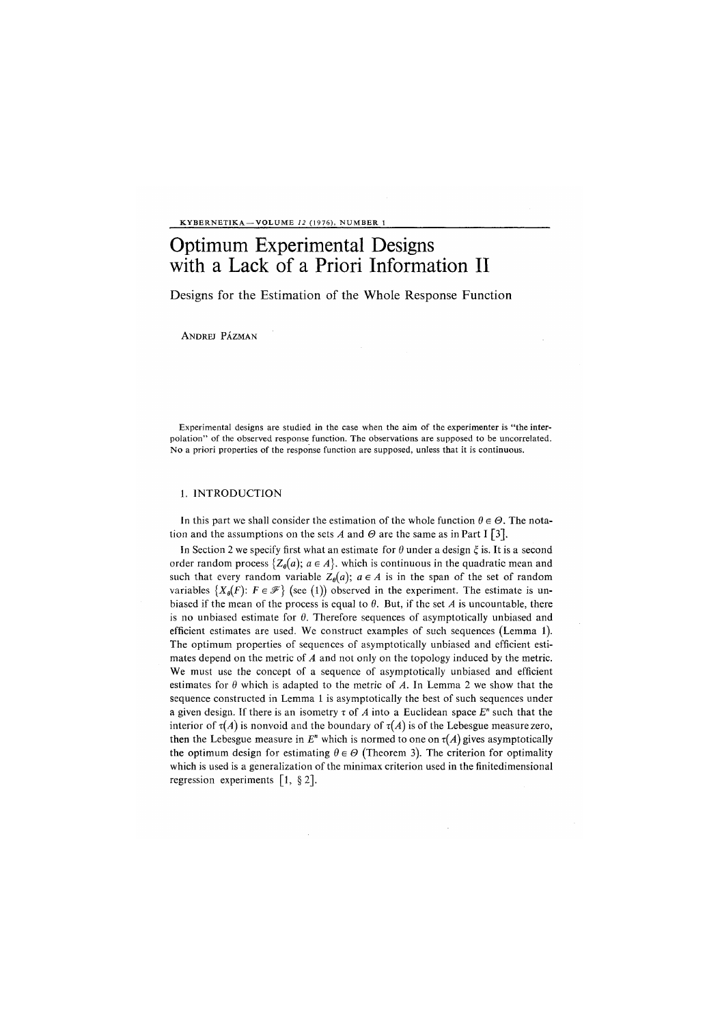KYBERNETIKA —VOLUME *12* (1976), NUMBER 1

## Optimum Experimental Designs with a Lack of a Priori Information II

Designs for the Estimation of the Whole Response Function

ANDREJ PÁZMAN

Experimental designs are studied in the case when the aim of the experimenter is "the interpolation" of the observed response function. The observations are supposed to be uncorrelated. No a priori properties of the response function are supposed, unless that it is continuous.

## 1. INTRODUCTION

In this part we shall consider the estimation of the whole function  $\theta \in \Theta$ . The notation and the assumptions on the sets A and  $\Theta$  are the same as in Part I [3].

In Section 2 we specify first what an estimate for  $\theta$  under a design  $\xi$  is. It is a second order random process  $\{Z_{\theta}(a); a \in A\}$ , which is continuous in the quadratic mean and such that every random variable  $Z_{\theta}(a)$ ;  $a \in A$  is in the span of the set of random variables  $\{X_{\theta}(F): F \in \mathcal{F}\}\$  (see (1)) observed in the experiment. The estimate is unbiased if the mean of the process is equal to  $\theta$ . But, if the set A is uncountable, there is no unbiased estimate for  $\theta$ . Therefore sequences of asymptotically unbiased and efficient estimates are used. We construct examples of such sequences (Lemma 1). The optimum properties of sequences of asymptotically unbiased and efficient estimates depend on the metric of *A* and not only on the topology induced by the metric. We must use the concept of a sequence of asymptotically unbiased and efficient estimates for  $\theta$  which is adapted to the metric of  $A$ . In Lemma 2 we show that the sequence constructed in Lemma 1 is asymptotically the best of such sequences under a given design. If there is an isometry  $\tau$  of  $A$  into a Euclidean space  $E^n$  such that the interior of  $\tau(A)$  is nonvoid and the boundary of  $\tau(A)$  is of the Lebesgue measure zero, then the Lebesgue measure in  $E<sup>n</sup>$  which is normed to one on  $\tau(A)$  gives asymptotically the optimum design for estimating  $\theta \in \Theta$  (Theorem 3). The criterion for optimality which is used is a generalization of the minimax criterion used in the finitedimensional regression experiments [1, §2].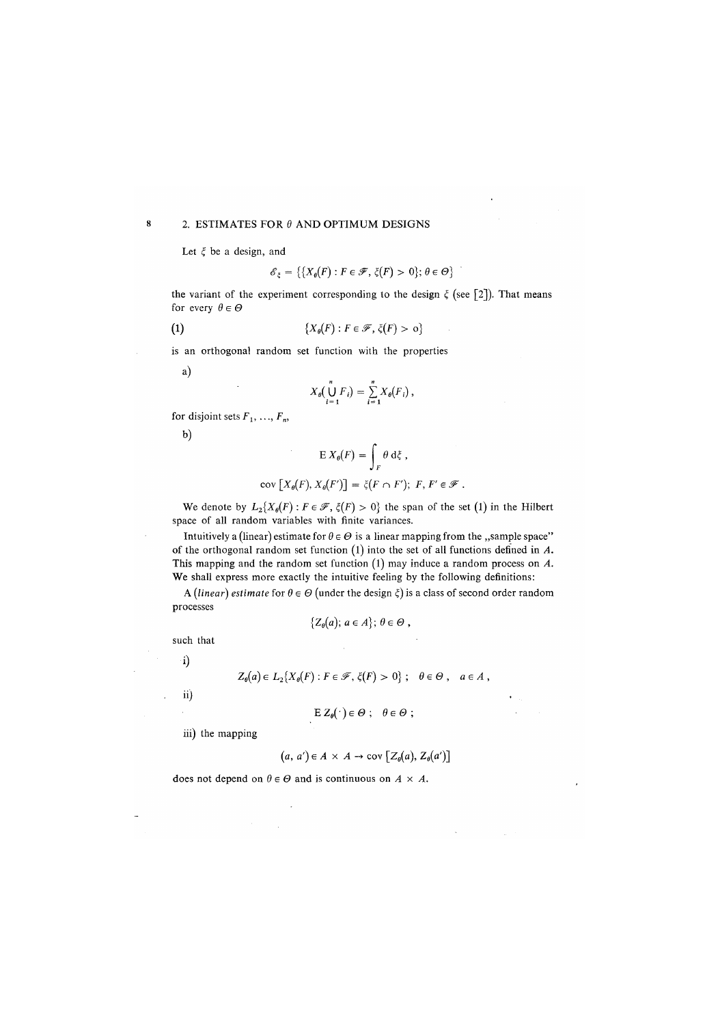## 2. ESTIMATES FOR *9* AND OPTIMUM DESIGNS

Let  $\xi$  be a design, and

$$
\mathscr{E}_{\xi} = \{ \{ X_{\theta}(F) : F \in \mathscr{F}, \, \xi(F) > 0 \}; \, \theta \in \Theta \}
$$

the variant of the experiment corresponding to the design  $\xi$  (see [2]). That means for every  $\theta \in \Theta$ 

(1)  ${X_{\theta}(F) : F \in \mathcal{F}, \xi(F) > 0}$ 

is an orthogonal random set function with the properties

a)

$$
X_{\theta}(\bigcup_{i=1}^n F_i) = \sum_{i=1}^n X_{\theta}(F_i) ,
$$

for disjoint sets  $F_1, \ldots, F_n$ ,

b)

$$
\mathbf{E} X_{\theta}(F) = \int_{F} \theta \, \mathrm{d}\xi \;,
$$
cov 
$$
\left[X_{\theta}(F), X_{\theta}(F')\right] = \xi(F \cap F'); \; F, F' \in \mathcal{F} \; .
$$

We denote by  $L_2\{X_{\theta}(F): F \in \mathscr{F}, \xi(F) > 0\}$  the span of the set (1) in the Hilbert space of all random variables with finite variances.

Intuitively a (linear) estimate for  $\theta \in \Theta$  is a linear mapping from the ,,sample space" of the orthogonal random set function *(*l) into the set of all functions defined in *A.*  This mapping and the random set function *(*1) may induce a random process on *A.*  We shall express more exactly the intuitive feeling by the following definitions:

A *(linear)* estimate for  $\theta \in \Theta$  (under the design  $\xi$ ) is a class of second order random processes

$$
\{Z_{\theta}(a); a \in A\}; \theta \in \Theta,
$$

such that

i**)** 

$$
Z_{\theta}(a) \in L_2\{X_{\theta}(F) : F \in \mathscr{F}, \xi(F) > 0\} ; \quad \theta \in \Theta, \quad a \in A,
$$

ii)

$$
\mathrm{E} Z_{\theta}(\cdot) \in \Theta \ ; \quad \theta \in \Theta \ ;
$$

iii) the mapping

$$
(a, a') \in A \times A \rightarrow \text{cov } [Z_{\theta}(a), Z_{\theta}(a')]
$$

does not depend on  $\theta \in \Theta$  and is continuous on  $A \times A$ .

 $\bf{8}$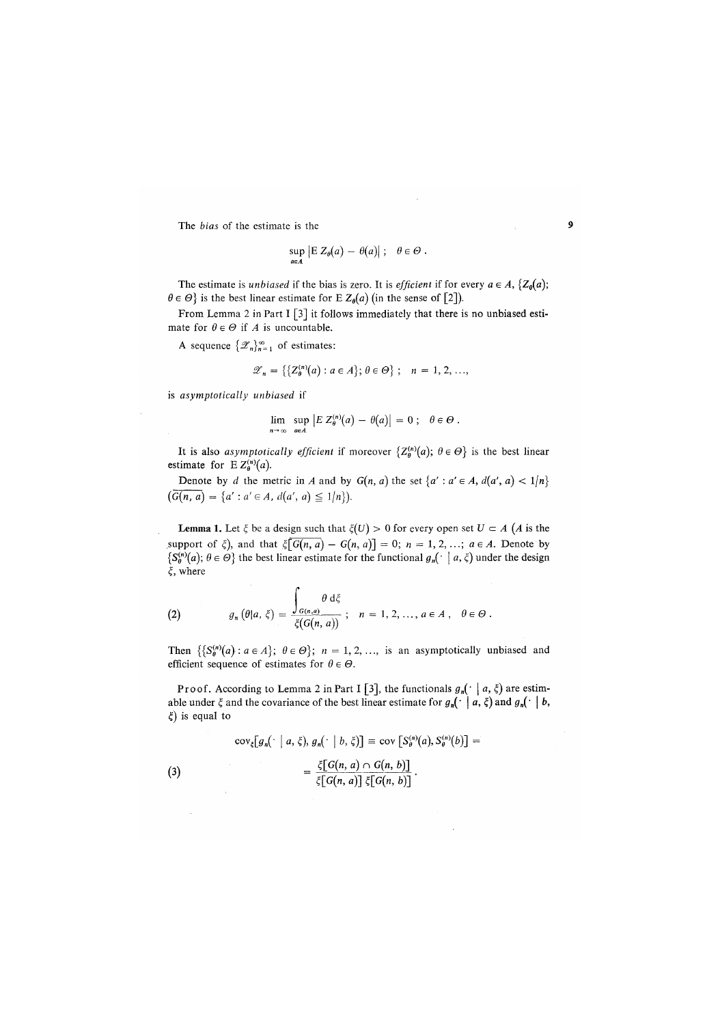The *bias* of the estimate is the

$$
\sup_{a\in A} |E Z_{\theta}(a) - \theta(a)| ; \quad \theta \in \Theta.
$$

The estimate is *unbiased* if the bias is zero. It is *efficient* if for every  $a \in A$ ,  $\{Z_0(a)\}$ ;  $\theta \in \Theta$ } is the best linear estimate for E  $Z_{\theta}(a)$  (in the sense of [2]).

From Lemma 2 in Part I  $\lceil 3 \rceil$  it follows immediately that there is no unbiased estimate for  $\theta \in \Theta$  if *A* is uncountable.

A sequence  $\{\mathscr{Z}_n\}_{n=1}^{\infty}$  of estimates:

$$
\mathscr{Z}_n = \left\{ \left\{ Z_{\theta}^{(n)}(a) : a \in A \right\}; \, \theta \in \Theta \right\}; \quad n = 1, 2, \ldots,
$$

is *asymptotically unbiased* if

$$
\lim_{n \to \infty} \sup_{a \in A} |E Z_{\theta}^{(n)}(a) - \theta(a)| = 0; \quad \theta \in \Theta.
$$

It is also *asymptotically efficient* if moreover  $\{Z_{\mathbf{a}}^{(n)}(a); \theta \in \Theta\}$  is the best linear estimate for  $E Z_{\theta}^{(n)}(a)$ .

Denote by *d* the metric in *A* and by  $G(n, a)$  the set  $\{a' : a' \in A, d(a', a) < 1/n\}$  $\left(\overline{G(n, a)} = \{a' : a' \in A, d(a', a) \leq 1/n\}\right).$ 

**Lemma 1.** Let  $\xi$  be a design such that  $\xi(U) > 0$  for every open set  $U \subset A$  (*A* is the support of  $\xi$ ), and that  $\xi$ [ $G(n, a) - G(n, a)$ ] = 0;  $n = 1, 2, ...$ ;  $a \in A$ . Denote by  $\{S_{\theta}^{(n)}(a); \theta \in \Theta\}$  the best linear estimate for the functional  $g_n(\cdot \mid a, \xi)$  under the design  $\xi$ , where

(2) 
$$
g_n(\theta|a,\xi) = \frac{\int_{G(n,a)} \theta \, d\xi}{\xi(G(n,a))}; \quad n = 1, 2, ..., a \in A, \quad \theta \in \Theta.
$$

 $\overline{\phantom{a}}$ 

Then  $\{S_{\theta}^{(n)}(a): a \in A\}$ ;  $\theta \in \Theta\}$ ;  $n = 1, 2, ...,$  is an asymptotically unbiased and efficient sequence of estimates for  $\theta \in \Theta$ .

Proof. According to Lemma 2 in Part I [3], the functionals  $g_n(\cdot | a, \xi)$  are estimable under  $\xi$  and the covariance of the best linear estimate for  $g_n(\cdot \mid a, \xi)$  and  $g_n(\cdot \mid b, \xi)$ *£)* is equal to

(3)  
\n
$$
\operatorname{cov}_{\xi}[g_n(\cdot \mid a, \xi), g_n(\cdot \mid b, \xi)] \equiv \operatorname{cov}\left[S_{\theta}^{(n)}(a), S_{\theta}^{(n)}(b)\right] = \frac{\xi[G(n, a) \cap G(n, b)]}{\xi[G(n, a)] \xi[G(n, b)]}.
$$

9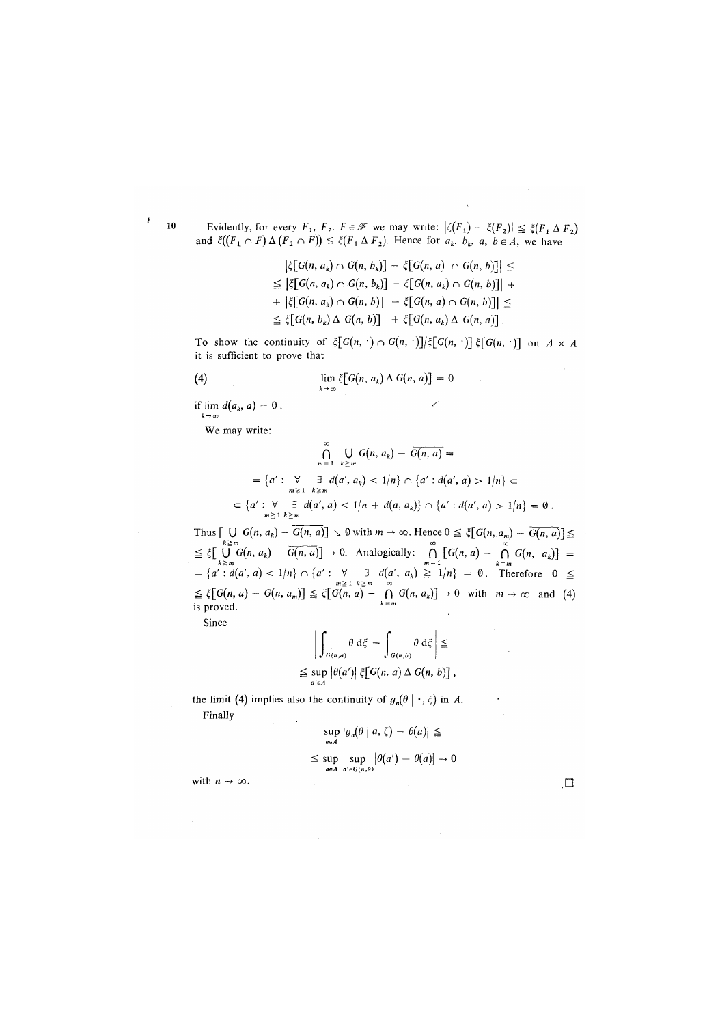Evidently, for every  $F_1$ ,  $F_2$ .  $F \in \mathscr{F}$  we may write:  $|\xi(F_1) - \xi(F_2)| \leq \xi(F_1 \Delta F_2)$ and  $\xi((F_1 \cap F) \Delta (F_2 \cap F)) \leq \xi(F_1 \Delta F_2)$ . Hence for  $a_k$ ,  $b_k$ ,  $a_k$ ,  $b \in A$ , we have

> $|\xi[G(n, a_k) \cap G(n, b_k)] - \xi[G(n, a) \cap G(n, b)]| \le$  $\leq$   $|\xi[G(n, a_k) \cap G(n, b_k)] - \xi[G(n, a_k) \cap G(n, b)]|$  +  $+ \left| \xi[G(n, a_k) \cap G(n, b)] - \xi[G(n, a) \cap G(n, b)] \right| \le$  $\leq \xi[G(n, b_k) \Delta G(n, b)] + \xi[G(n, a_k) \Delta G(n, a)].$

To show the continuity of  $\zeta[G(n, \cdot) \cap G(n, \cdot)]/\zeta[G(n, \cdot)]$   $\zeta[G(n, \cdot)]$  on  $A \times A$ it is sufficient to prove that

(4) 
$$
\lim_{k \to \infty} \xi[G(n, a_k) \Delta G(n, a)] = 0
$$

if  $\lim d(a_k, a) = 0$ .  $k \rightarrow \infty$ 

We may write:

$$
\bigcap_{m=1}^{\infty} \bigcup_{k \ge m} G(n, a_k) - \overline{G(n, a)} =
$$
\n
$$
= \{a' : \bigvee_{m \ge 1} \exists d(a', a_k) < 1/n\} \cap \{a' : d(a', a) > 1/n\} \subset
$$
\n
$$
\subset \{a' : \forall \exists d(a', a) < 1/n + d(a, a_k)\} \cap \{a' : d(a', a) > 1/n\} = \emptyset.
$$

Thus  $\bigcup_{k \ge m} G(n, a_k) - G(n, a) \big| \searrow \emptyset$  with  $m \to \infty$ . Hence  $0 \le \xi \big[ G(n, a_m) - G(n, a) \big] \le$  $\leq \xi \lfloor \bigcup_{k \geq m} G(n, a_k) - G(n, a) \rfloor \to 0.$  Analogically:  $\bigcap_{m \geq 1} [G(n, a) - \bigcap_{k \geq m} G(n, a_k)] =$ <br>= { $a' : d(a', a) < 1/n$ }  $\bigcap_{m \geq 1} a' : \forall \exists d(a', a_k) \geq 1/n$ } =  $\emptyset$ . Therefore  $0 \leq$ <br> $\leq \xi [G(n, a) - G(n, a_m)] \leq \xi [G(n, a) - \bigcap_{m \geq 1} G(n, a_k)] \$ is proved.

Since

$$
\left| \int_{G(n,a)} \theta \, d\xi - \int_{G(n,b)} \theta \, d\xi \right| \le
$$
  

$$
\leq \sup_{a \in A} |\theta(a')| \xi[G(n,a) \Delta G(n,b)],
$$

the limit (4) implies also the continuity of  $g_n(\theta | \cdot, \xi)$  in A. Finally

$$
\sup_{a \in A} |g_n(\theta | a, \xi) - \theta(a)| \le
$$
  

$$
\leq \sup_{a \in A} \sup_{a' \in G(n, a)} |\theta(a') - \theta(a)| \to 0
$$

with  $n \to \infty$ .

10

 $\pmb{\mathfrak{z}}$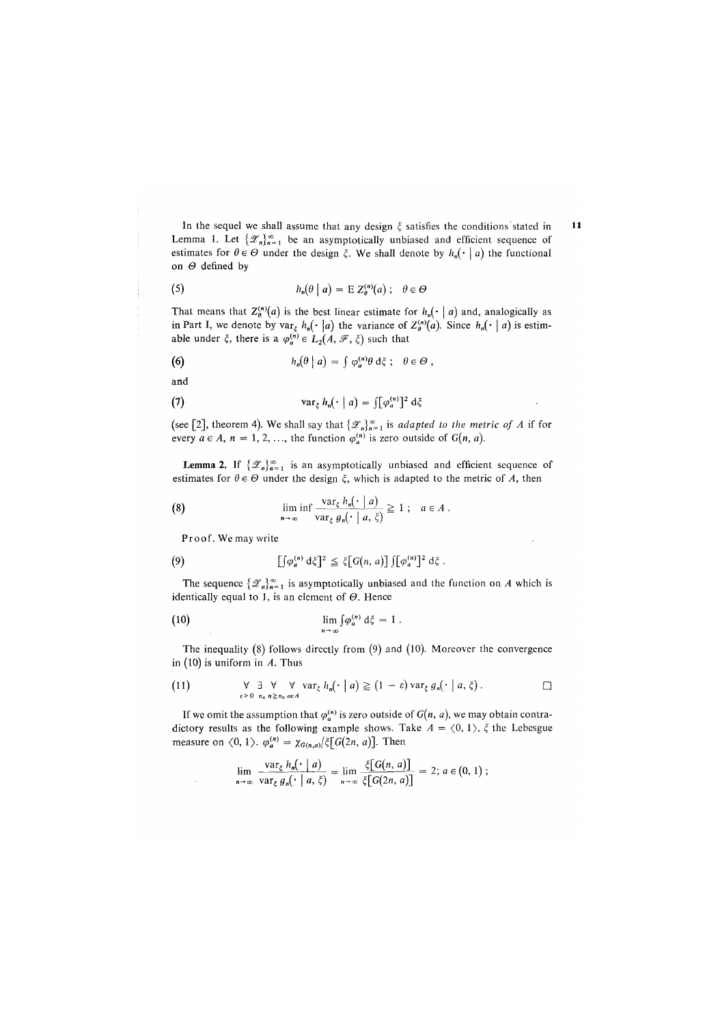In the sequel we shall assume that any design  $\xi$  satisfies the conditions stated in Lemma 1. Let  $\{\mathscr{Z}_n\}_{n=1}^\infty$  be an asymptotically unbiased and efficient sequence of estimates for  $\theta \in \Theta$  under the design  $\xi$ . We shall denote by  $h_n(\cdot | a)$  the functional on *0* defined by

(5) 
$$
h_n(\theta \mid a) = \mathbb{E} Z_{\theta}^{(n)}(a) ; \quad \theta \in \Theta
$$

That means that  $Z_{\theta}^{(n)}(a)$  is the best linear estimate for  $h_n(\cdot | a)$  and, analogically as in Part I, we denote by  $var_{\xi} h_n(\cdot | a)$  the variance of  $Z_{\theta}^{(n)}(a)$ . Since  $h_n(\cdot | a)$  is estimable under  $\xi$ , there is a  $\varphi_a^{(n)} \in L_2(A, \mathcal{F}, \xi)$  such that

(6) 
$$
h_n(\theta \mid a) = \int \varphi_a^{(n)} \theta \, d\xi \; ; \quad \theta \in \Theta ,
$$

and

(7) 
$$
\operatorname{var}_{\xi} h_n(\cdot \mid a) = \iint \varphi_a^{(n)} \rceil^2 d\xi
$$

(see [2], theorem 4). We shall say that  $\{\mathcal{Z}_n\}_{n=1}^{\infty}$  is *adapted to the metric of A* if for every  $a \in A$ ,  $n = 1, 2, \ldots$ , the function  $\varphi_n^{(n)}$  is zero outside of  $G(n, a)$ .

**Lemma 2.** If  $\{\mathscr{Z}_n\}_{n=1}^{\infty}$  is an asymptotically unbiased and efficient sequence of estimates for  $\theta \in \Theta$  under the design  $\xi$ , which is adapted to the metric of A, then

(8) 
$$
\liminf_{n \to \infty} \frac{\text{var}_{\xi} h_n(\cdot \mid a)}{\text{var}_{\xi} g_n(\cdot \mid a, \xi)} \ge 1; \quad a \in A.
$$

Proof. We may write

(9) 
$$
[\int \varphi_a^{(n)} d\xi]^2 \leq \xi[G(n, a)] \int [\varphi_a^{(n)}]^2 d\xi.
$$

The sequence  $\{\mathscr{Z}_n\}_{n=1}^\infty$  is asymptotically unbiased and the function on *A* which is identically equal to 1, is an element of *0.* Hence

(10) 
$$
\lim_{n\to\infty}\int\limits_{\alpha}^{\alpha} \varphi_a^{(n)}\,\mathrm{d}\zeta = 1\,.
$$

The inequality (8) follows directly from *(*9) and *(*10). Moreover the convergence in *(*10) is uniform in *A.* Thus

(11) 
$$
\forall \quad \exists \quad \forall \quad \forall \quad \text{var}_{\xi} \; h_n(\cdot \mid a) \geq (1 - \varepsilon) \text{var}_{\xi} \; g_n(\cdot \mid a, \xi).
$$

If we omit the assumption that  $\varphi_a^{(n)}$  is zero outside of  $G(n, a)$ , we may obtain contradictory results as the following example shows. Take  $A = \langle 0, 1 \rangle$ ,  $\xi$  the Lebesgue measure on  $\langle 0, 1 \rangle$ .  $\varphi_a^{(n)} = \chi_{G(n,a)} / \xi [G(2n, a)]$ . Then

$$
\lim_{n\to\infty}\frac{\text{var}_{\xi} h_n(\cdot \mid a)}{\text{var}_{\xi} g_n(\cdot \mid a, \xi)} = \lim_{n\to\infty}\frac{\xi[G(n, a)]}{\xi[G(2n, a)]} = 2; a \in (0, 1);
$$

11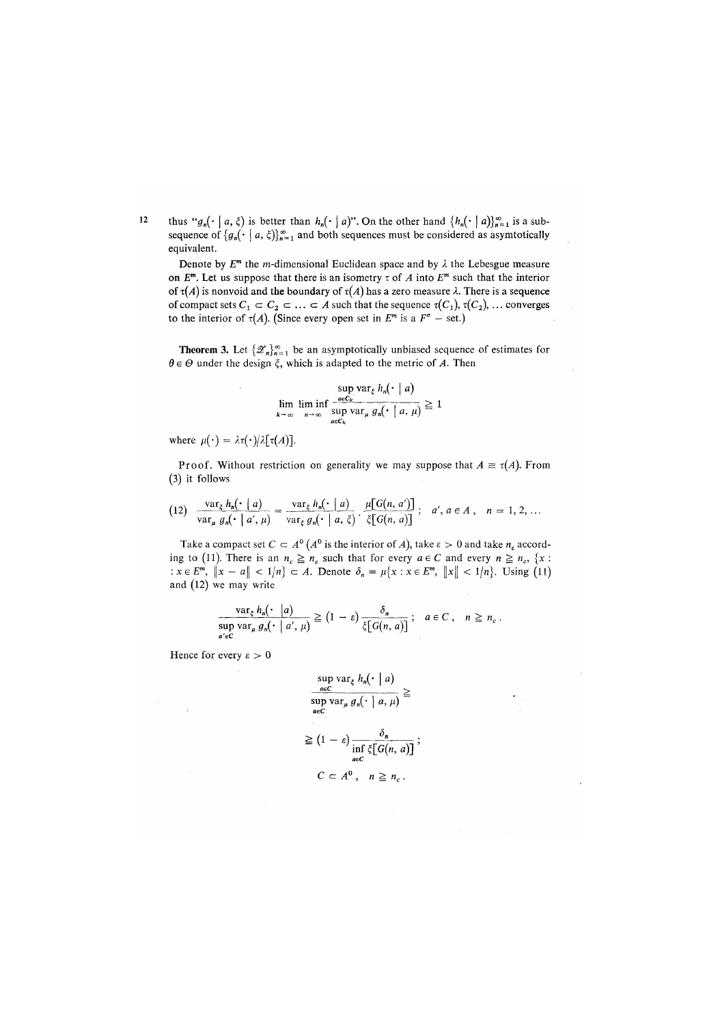$12$ thus " $g_n(\cdot \mid a, \xi)$  is better than  $h_n(\cdot \mid a)$ ". On the other hand  $\{h_n(\cdot \mid a)\}_{n=1}^{\infty}$  is a subsequence of  $\{g_n(\cdot \mid a, \xi)\}_{n=1}^{\infty}$  and both sequences must be considered as asymtotically equivalent.

Denote by  $E^m$  the *m*-dimensional Euclidean space and by  $\lambda$  the Lebesgue measure on  $E^m$ . Let us suppose that there is an isometry  $\tau$  of A into  $E^m$  such that the interior of  $\tau(A)$  is nonvoid and the boundary of  $\tau(A)$  has a zero measure  $\lambda$ . There is a sequence of compact sets  $C_1 \subset C_2 \subset \ldots \subset A$  such that the sequence  $\tau(C_1)$ ,  $\tau(C_2)$ , ... converges to the interior of  $\tau(A)$ . (Since every open set in  $E^m$  is a  $F^{\sigma}$  – set.)

**Theorem 3.** Let  $\{\mathscr{Z}_n\}_{n=1}^{\infty}$  be an asymptotically unbiased sequence of estimates for  $\theta \in \Theta$  under the design  $\xi$ , which is adapted to the metric of A. Then

$$
\lim_{k \to \infty} \liminf_{n \to \infty} \frac{\sup_{a \in C_k} \text{var}_k h_n(\cdot \mid a)}{\sup_{a \in C_k} \text{var}_\mu g_n(\cdot \mid a, \mu)} \ge 1
$$

where  $\mu(\cdot) = \lambda \tau(\cdot)/\lambda[\tau(A)].$ 

Proof. Without restriction on generality we may suppose that  $A \equiv \tau(A)$ . From *(*3) it follows

$$
(12) \quad \frac{\operatorname{var}_{\xi} h_n(\cdot \mid a)}{\operatorname{var}_{\mu} g_n(\cdot \mid a', \mu)} = \frac{\operatorname{var}_{\xi} h_n(\cdot \mid a)}{\operatorname{var}_{\xi} g_n(\cdot \mid a, \xi)} \cdot \frac{\mu[G(n, a')]}{\xi[G(n, a)]}; \quad a', a \in A, \quad n = 1, 2, \ldots
$$

Take a compact set  $C \subset A^0 \left( A^0 \right)$  is the interior of A), take  $\varepsilon > 0$  and take  $n_{\varepsilon}$  according to (11). There is an  $n_c \ge n_s$  such that for every  $a \in C$  and every  $n \ge n_c$ , {x :  $x \in E^m$ ,  $\|x - a\| < 1/n$   $\subset A$ . Denote  $\delta_n = \mu\{x : x \in E^m$ ,  $\|x\| < 1/n\}$ . Using (11) and (12) we may write

$$
\frac{\operatorname{var}_{\xi} h_n(\cdot \mid a)}{\operatorname{sup}_{a' \in \mathbb{C}} \operatorname{var}_{\mu} g_n(\cdot \mid a', \mu)} \ge (1 - \varepsilon) \frac{\delta_n}{\xi[G(n, a)]}; \quad a \in \mathbb{C}, \quad n \ge n_c.
$$

Hence for every  $\varepsilon > 0$ 

$$
\frac{\sup_{a \in C} \text{var}_{\xi} h_n(\cdot \mid a)}{\sup_{a \in C} \text{var}_{\mu} g_n(\cdot \mid a, \mu)} \geq
$$
\n
$$
\geq (1 - \varepsilon) \frac{\delta_n}{\inf_{a \in C} \xi[G(n, a)]};
$$
\n
$$
C \subset A^0, \quad n \geq n_c.
$$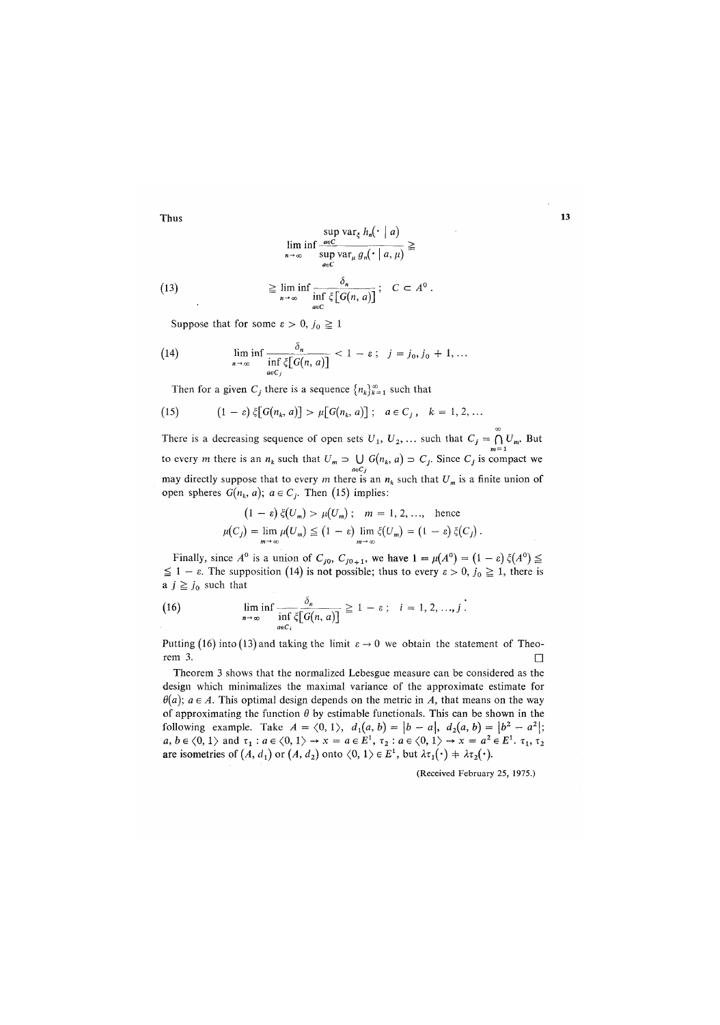$$
\boldsymbol{13}
$$

(13) 
$$
\liminf_{n \to \infty} \frac{\sup_{a \in C} \text{var}_{\xi} h_n(\cdot \mid a)}{\sup_{a \in C} \text{var}_{\mu} g_n(\cdot \mid a, \mu)} \geq
$$

$$
\geq \liminf_{n \to \infty} \frac{\delta_n}{\inf_{a \in C} \xi[G(n, a)]}; \quad C \subset A^0.
$$

Suppose that for some  $\varepsilon > 0$ ,  $j_0 \ge 1$ .

(14) 
$$
\liminf_{n \to \infty} \frac{\partial_n}{\inf_{a \in C_j} \xi[G(n, a)]} < 1 - \varepsilon; \quad j = j_0, j_0 + 1, \dots
$$

Then for a given  $C_j$  there is a sequence  $\{n_k\}_{k=1}^{\infty}$  such that

(15) 
$$
(1 - \varepsilon) \xi[G(n_k, a)] > \mu[G(n_k, a)] ; a \in C_j, k = 1, 2, ...
$$

There is a decreasing sequence of open sets  $U_1, U_2, ...$  such that  $C_j = \bigcap_{m=1}^{\infty} U_m$ . But<br>to every *m* there is an  $n_k$  such that  $U_m \supset \bigcup_{a \in C_j} G(n_k, a) \supset C_j$ . Since  $C_j$  is compact we may directly suppose that to every *m* there is an  $n_k$  such that  $U_m$  is a finite union of open spheres  $G(n_k, a)$ ;  $a \in C_j$ . Then (15) implies:

$$
(1 - \varepsilon) \xi(U_m) > \mu(U_m); \quad m = 1, 2, \dots, \quad \text{hence}
$$

$$
\mu(C_j) = \lim_{m \to \infty} \mu(U_m) \le (1 - \varepsilon) \lim_{m \to \infty} \xi(U_m) = (1 - \varepsilon) \xi(C_j).
$$

Finally, since  $A^0$  is a union of  $C_{j0}$ ,  $C_{j0+1}$ , we have  $1 = \mu(A^0) = (1 - \varepsilon) \xi(A^0) \leq$  $\leq 1 - \varepsilon$ . The supposition (14) is not possible; thus to every  $\varepsilon > 0$ ,  $j_0 \geq 1$ , there is a  $j \geq j_0$  such that

(16) 
$$
\liminf_{n \to \infty} \frac{\delta_n}{\inf_{a \in C_i} \xi[G(n, a)]} \geq 1 - \varepsilon \; ; \quad i = 1, 2, ..., j.
$$

Putting (16) into (13) and taking the limit  $\varepsilon \to 0$  we obtain the statement of Theorem 3.

Theorem 3 shows that the normalized Lebesgue measure can be considered as the design which minimalizes the maximal variance of the approximate estimate for  $\theta(a)$ ;  $a \in A$ . This optimal design depends on the metric in A, that means on the way of approximating the function  $\theta$  by estimable functionals. This can be shown in the following example. Take  $A = \langle 0, 1 \rangle$ ,  $d_1(a, b) = |b - a|$ ,  $d_2(a, b) = |b^2 - a^2|$ ;  $a, b \in \langle 0, 1 \rangle \text{ and } \tau_1 : a \in \langle 0, 1 \rangle \rightarrow x = a \in E^1, \tau_2 : a \in \langle 0, 1 \rangle \rightarrow x = a^2 \in E^1, \tau_1, \tau_2$ are isometries of  $(A, d_1)$  or  $(A, d_2)$  onto  $\langle 0, 1 \rangle \in E^1$ , but  $\lambda \tau_1(\cdot) + \lambda \tau_2(\cdot)$ .

(Received February 25, 1975.)

**T**hu**s**